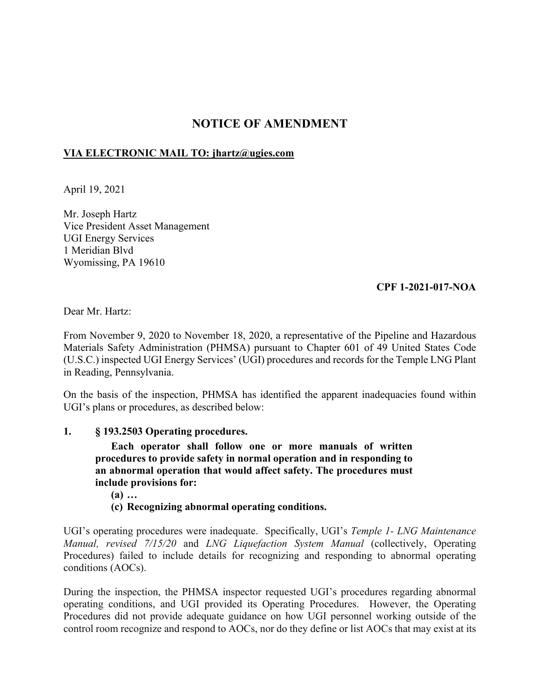# **NOTICE OF AMENDMENT**

# **VIA ELECTRONIC MAIL TO: [jhartz@ugies.com](mailto:jhartz@ugies.com)**

April 19, 2021

Mr. Joseph Hartz Vice President Asset Management UGI Energy Services 1 Meridian Blvd Wyomissing, PA 19610

# **CPF 1-2021-017-NOA**

Dear Mr. Hartz:

From November 9, 2020 to November 18, 2020, a representative of the Pipeline and Hazardous Materials Safety Administration (PHMSA) pursuant to Chapter 601 of 49 United States Code (U.S.C.) inspected UGI Energy Services' (UGI) procedures and records for the Temple LNG Plant in Reading, Pennsylvania.

On the basis of the inspection, PHMSA has identified the apparent inadequacies found within UGI's plans or procedures, as described below:

#### **1. § 193.2503 Operating procedures.**

**Each operator shall follow one or more manuals of written procedures to provide safety in normal operation and in responding to an abnormal operation that would affect safety. The procedures must include provisions for:** 

**(a) …** 

# **(c) Recognizing abnormal operating conditions.**

UGI's operating procedures were inadequate. Specifically, UGI's *Temple 1- LNG Maintenance Manual, revised 7/15/20* and *LNG Liquefaction System Manual* (collectively, Operating Procedures) failed to include details for recognizing and responding to abnormal operating conditions (AOCs).

During the inspection, the PHMSA inspector requested UGI's procedures regarding abnormal operating conditions, and UGI provided its Operating Procedures. However, the Operating Procedures did not provide adequate guidance on how UGI personnel working outside of the control room recognize and respond to AOCs, nor do they define or list AOCs that may exist at its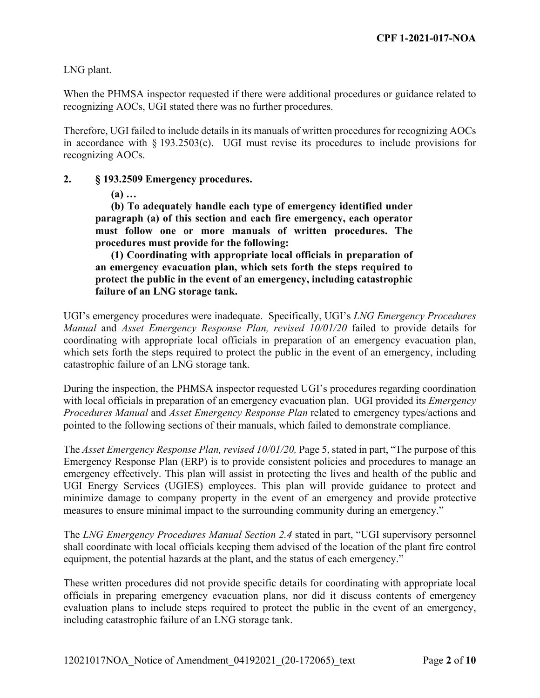LNG plant.

When the PHMSA inspector requested if there were additional procedures or guidance related to recognizing AOCs, UGI stated there was no further procedures.

Therefore, UGI failed to include details in its manuals of written procedures for recognizing AOCs in accordance with  $\S 193.2503(c)$ . UGI must revise its procedures to include provisions for recognizing AOCs.

#### **2. § 193.2509 Emergency procedures.**

**(a) …** 

**(b) To adequately handle each type of emergency identified under paragraph (a) of this section and each fire emergency, each operator must follow one or more manuals of written procedures. The procedures must provide for the following:** 

**(1) Coordinating with appropriate local officials in preparation of an emergency evacuation plan, which sets forth the steps required to protect the public in the event of an emergency, including catastrophic failure of an LNG storage tank.** 

UGI's emergency procedures were inadequate. Specifically, UGI's *LNG Emergency Procedures Manual* and *Asset Emergency Response Plan, revised 10/01/20* failed to provide details for coordinating with appropriate local officials in preparation of an emergency evacuation plan, which sets forth the steps required to protect the public in the event of an emergency, including catastrophic failure of an LNG storage tank.

During the inspection, the PHMSA inspector requested UGI's procedures regarding coordination with local officials in preparation of an emergency evacuation plan. UGI provided its *Emergency Procedures Manual* and *Asset Emergency Response Plan* related to emergency types/actions and pointed to the following sections of their manuals, which failed to demonstrate compliance.

The *Asset Emergency Response Plan, revised 10/01/20,* Page 5, stated in part, "The purpose of this Emergency Response Plan (ERP) is to provide consistent policies and procedures to manage an emergency effectively. This plan will assist in protecting the lives and health of the public and UGI Energy Services (UGIES) employees. This plan will provide guidance to protect and minimize damage to company property in the event of an emergency and provide protective measures to ensure minimal impact to the surrounding community during an emergency."

The *LNG Emergency Procedures Manual Section 2.4* stated in part, "UGI supervisory personnel shall coordinate with local officials keeping them advised of the location of the plant fire control equipment, the potential hazards at the plant, and the status of each emergency."

These written procedures did not provide specific details for coordinating with appropriate local officials in preparing emergency evacuation plans, nor did it discuss contents of emergency evaluation plans to include steps required to protect the public in the event of an emergency, including catastrophic failure of an LNG storage tank.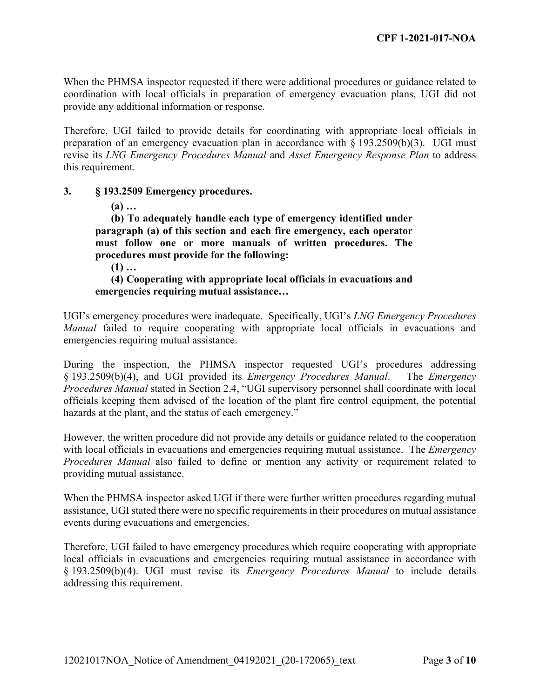When the PHMSA inspector requested if there were additional procedures or guidance related to coordination with local officials in preparation of emergency evacuation plans, UGI did not provide any additional information or response.

Therefore, UGI failed to provide details for coordinating with appropriate local officials in preparation of an emergency evacuation plan in accordance with § 193.2509(b)(3). UGI must revise its *LNG Emergency Procedures Manual* and *Asset Emergency Response Plan* to address this requirement.

#### **3. § 193.2509 Emergency procedures.**

**(a) …** 

**(b) To adequately handle each type of emergency identified under paragraph (a) of this section and each fire emergency, each operator must follow one or more manuals of written procedures. The procedures must provide for the following:** 

**(1) …** 

### **(4) Cooperating with appropriate local officials in evacuations and emergencies requiring mutual assistance…**

UGI's emergency procedures were inadequate. Specifically, UGI's *LNG Emergency Procedures Manual* failed to require cooperating with appropriate local officials in evacuations and emergencies requiring mutual assistance.

During the inspection, the PHMSA inspector requested UGI's procedures addressing § 193.2509(b)(4), and UGI provided its *Emergency Procedures Manual*. The *Emergency Procedures Manual* stated in Section 2.4, "UGI supervisory personnel shall coordinate with local officials keeping them advised of the location of the plant fire control equipment, the potential hazards at the plant, and the status of each emergency."

However, the written procedure did not provide any details or guidance related to the cooperation with local officials in evacuations and emergencies requiring mutual assistance. The *Emergency Procedures Manual* also failed to define or mention any activity or requirement related to providing mutual assistance.

When the PHMSA inspector asked UGI if there were further written procedures regarding mutual assistance, UGI stated there were no specific requirements in their procedures on mutual assistance events during evacuations and emergencies.

Therefore, UGI failed to have emergency procedures which require cooperating with appropriate local officials in evacuations and emergencies requiring mutual assistance in accordance with § 193.2509(b)(4). UGI must revise its *Emergency Procedures Manual* to include details addressing this requirement.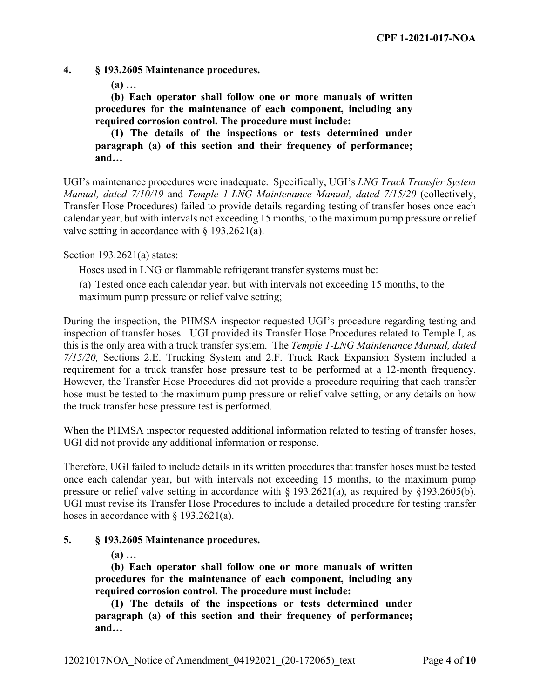**4. § 193.2605 Maintenance procedures.** 

**(a) …** 

**(b) Each operator shall follow one or more manuals of written procedures for the maintenance of each component, including any required corrosion control. The procedure must include:** 

**(1) The details of the inspections or tests determined under paragraph (a) of this section and their frequency of performance; and…** 

UGI's maintenance procedures were inadequate. Specifically, UGI's *LNG Truck Transfer System Manual, dated 7/10/19* and *Temple 1-LNG Maintenance Manual, dated 7/15/20* (collectively, Transfer Hose Procedures) failed to provide details regarding testing of transfer hoses once each calendar year, but with intervals not exceeding 15 months, to the maximum pump pressure or relief valve setting in accordance with  $\S 193.2621(a)$ .

Section 193.2621(a) states:

Hoses used in LNG or flammable refrigerant transfer systems must be:

maximum pump pressure or relief valve setting; (a) Tested once each calendar year, but with intervals not exceeding 15 months, to the

During the inspection, the PHMSA inspector requested UGI's procedure regarding testing and inspection of transfer hoses. UGI provided its Transfer Hose Procedures related to Temple I, as this is the only area with a truck transfer system. The *Temple 1-LNG Maintenance Manual, dated 7/15/20,* Sections 2.E. Trucking System and 2.F. Truck Rack Expansion System included a requirement for a truck transfer hose pressure test to be performed at a 12-month frequency. However, the Transfer Hose Procedures did not provide a procedure requiring that each transfer hose must be tested to the maximum pump pressure or relief valve setting, or any details on how the truck transfer hose pressure test is performed.

When the PHMSA inspector requested additional information related to testing of transfer hoses, UGI did not provide any additional information or response.

Therefore, UGI failed to include details in its written procedures that transfer hoses must be tested once each calendar year, but with intervals not exceeding 15 months, to the maximum pump pressure or relief valve setting in accordance with § 193.2621(a), as required by §193.2605(b). UGI must revise its Transfer Hose Procedures to include a detailed procedure for testing transfer hoses in accordance with § 193.2621(a).

# **5. § 193.2605 Maintenance procedures.**

**(a) …** 

**(b) Each operator shall follow one or more manuals of written procedures for the maintenance of each component, including any required corrosion control. The procedure must include:** 

**(1) The details of the inspections or tests determined under paragraph (a) of this section and their frequency of performance; and…**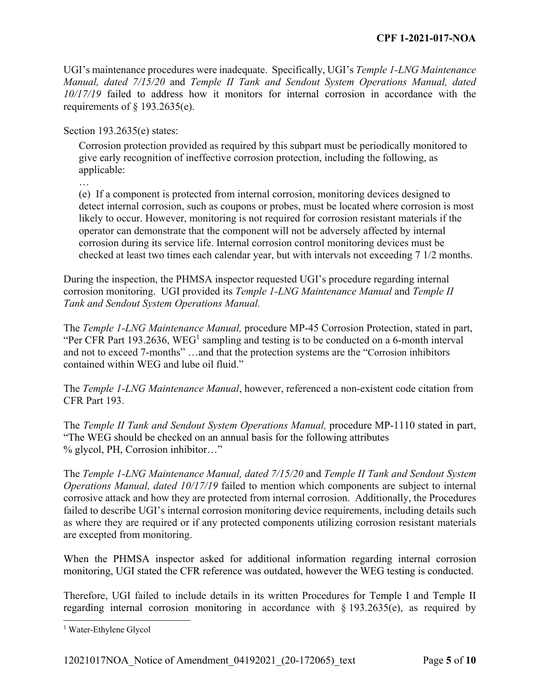UGI's maintenance procedures were inadequate. Specifically, UGI's *Temple 1-LNG Maintenance Manual, dated 7/15/20* and *Temple II Tank and Sendout System Operations Manual, dated 10/17/19* failed to address how it monitors for internal corrosion in accordance with the requirements of  $\S$  193.2635(e).

Section 193.2635(e) states:

Corrosion protection provided as required by this subpart must be periodically monitored to give early recognition of ineffective corrosion protection, including the following, as applicable:

…

(e) If a component is protected from internal corrosion, monitoring devices designed to detect internal corrosion, such as coupons or probes, must be located where corrosion is most likely to occur. However, monitoring is not required for corrosion resistant materials if the operator can demonstrate that the component will not be adversely affected by internal corrosion during its service life. Internal corrosion control monitoring devices must be checked at least two times each calendar year, but with intervals not exceeding 7 1/2 months.

 *Tank and Sendout System Operations Manual.* During the inspection, the PHMSA inspector requested UGI's procedure regarding internal corrosion monitoring. UGI provided its *Temple 1-LNG Maintenance Manual* and *Temple II* 

The *Temple 1-LNG Maintenance Manual,* procedure MP-45 Corrosion Protection, stated in part, "Per CFR Part 193.2636, WEG<sup>1</sup> sampling and testing is to be conducted on a 6-month interval and not to exceed 7-months" …and that the protection systems are the "Corrosion inhibitors contained within WEG and lube oil fluid."

The *Temple 1-LNG Maintenance Manual*, however, referenced a non-existent code citation from CFR Part 193.

The *Temple II Tank and Sendout System Operations Manual,* procedure MP-1110 stated in part, "The WEG should be checked on an annual basis for the following attributes % glycol, PH, Corrosion inhibitor…"

The *Temple 1-LNG Maintenance Manual, dated 7/15/20* and *Temple II Tank and Sendout System Operations Manual, dated 10/17/19* failed to mention which components are subject to internal corrosive attack and how they are protected from internal corrosion. Additionally, the Procedures failed to describe UGI's internal corrosion monitoring device requirements, including details such as where they are required or if any protected components utilizing corrosion resistant materials are excepted from monitoring.

When the PHMSA inspector asked for additional information regarding internal corrosion monitoring, UGI stated the CFR reference was outdated, however the WEG testing is conducted.

Therefore, UGI failed to include details in its written Procedures for Temple I and Temple II regarding internal corrosion monitoring in accordance with  $\S$  193.2635(e), as required by

 $\overline{a}$ 

<sup>1</sup> Water-Ethylene Glycol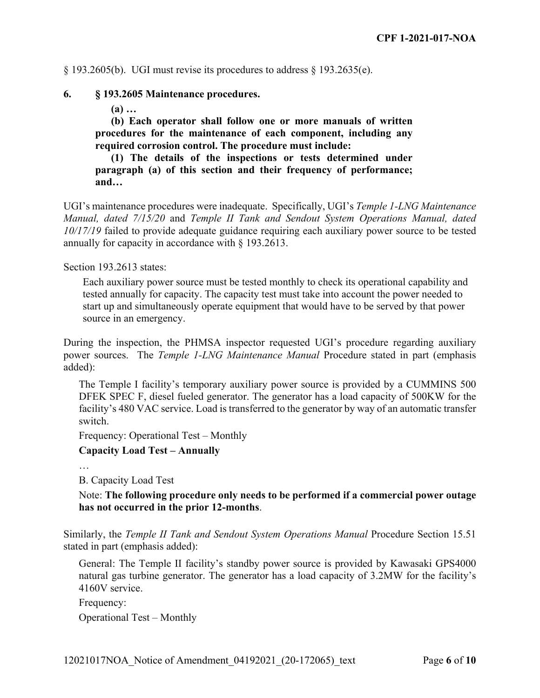$\S$  193.2605(b). UGI must revise its procedures to address  $\S$  193.2635(e).

#### **6. § 193.2605 Maintenance procedures.**

**(a) …** 

**(b) Each operator shall follow one or more manuals of written procedures for the maintenance of each component, including any required corrosion control. The procedure must include:** 

**(1) The details of the inspections or tests determined under paragraph (a) of this section and their frequency of performance; and…** 

UGI's maintenance procedures were inadequate. Specifically, UGI's *Temple 1-LNG Maintenance Manual, dated 7/15/20* and *Temple II Tank and Sendout System Operations Manual, dated 10/17/19* failed to provide adequate guidance requiring each auxiliary power source to be tested annually for capacity in accordance with § 193.2613.

Section 193.2613 states:

Each auxiliary power source must be tested monthly to check its operational capability and tested annually for capacity. The capacity test must take into account the power needed to start up and simultaneously operate equipment that would have to be served by that power source in an emergency.

During the inspection, the PHMSA inspector requested UGI's procedure regarding auxiliary power sources. The *Temple 1-LNG Maintenance Manual* Procedure stated in part (emphasis added):

The Temple I facility's temporary auxiliary power source is provided by a CUMMINS 500 DFEK SPEC F, diesel fueled generator. The generator has a load capacity of 500KW for the facility's 480 VAC service. Load is transferred to the generator by way of an automatic transfer switch.

Frequency: Operational Test – Monthly

**Capacity Load Test – Annually** 

…

B. Capacity Load Test

Note: **The following procedure only needs to be performed if a commercial power outage has not occurred in the prior 12-months**.

Similarly, the *Temple II Tank and Sendout System Operations Manual* Procedure Section 15.51 stated in part (emphasis added):

General: The Temple II facility's standby power source is provided by Kawasaki GPS4000 natural gas turbine generator. The generator has a load capacity of 3.2MW for the facility's 4160V service.

Frequency:

Operational Test – Monthly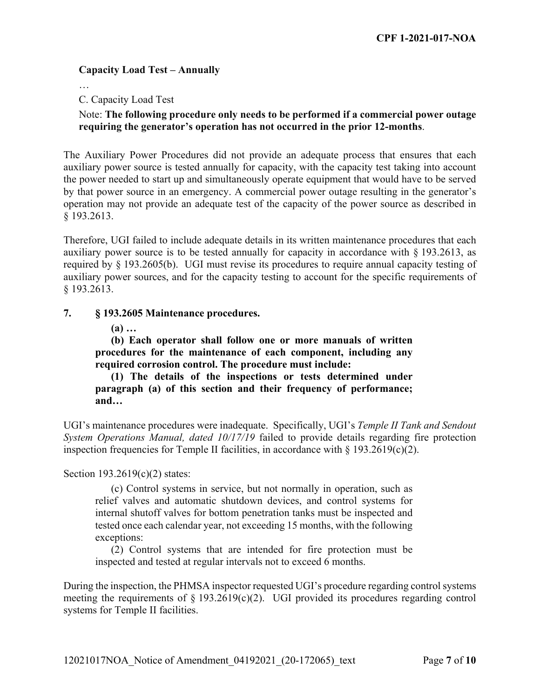# **Capacity Load Test – Annually**

…

C. Capacity Load Test

# Note: **The following procedure only needs to be performed if a commercial power outage requiring the generator's operation has not occurred in the prior 12-months**.

The Auxiliary Power Procedures did not provide an adequate process that ensures that each auxiliary power source is tested annually for capacity, with the capacity test taking into account the power needed to start up and simultaneously operate equipment that would have to be served by that power source in an emergency. A commercial power outage resulting in the generator's operation may not provide an adequate test of the capacity of the power source as described in § 193.2613.

Therefore, UGI failed to include adequate details in its written maintenance procedures that each auxiliary power source is to be tested annually for capacity in accordance with § 193.2613, as required by § 193.2605(b). UGI must revise its procedures to require annual capacity testing of auxiliary power sources, and for the capacity testing to account for the specific requirements of § 193.2613.

#### **7. § 193.2605 Maintenance procedures.**

**(a) …** 

**(b) Each operator shall follow one or more manuals of written procedures for the maintenance of each component, including any required corrosion control. The procedure must include:** 

**(1) The details of the inspections or tests determined under paragraph (a) of this section and their frequency of performance; and…** 

UGI's maintenance procedures were inadequate. Specifically, UGI's *Temple II Tank and Sendout System Operations Manual, dated 10/17/19* failed to provide details regarding fire protection inspection frequencies for Temple II facilities, in accordance with  $\S$  193.2619(c)(2).

Section 193.2619(c)(2) states:

(c) Control systems in service, but not normally in operation, such as relief valves and automatic shutdown devices, and control systems for internal shutoff valves for bottom penetration tanks must be inspected and tested once each calendar year, not exceeding 15 months, with the following exceptions:

(2) Control systems that are intended for fire protection must be inspected and tested at regular intervals not to exceed 6 months.

During the inspection, the PHMSA inspector requested UGI's procedure regarding control systems meeting the requirements of  $\S$  193.2619(c)(2). UGI provided its procedures regarding control systems for Temple II facilities.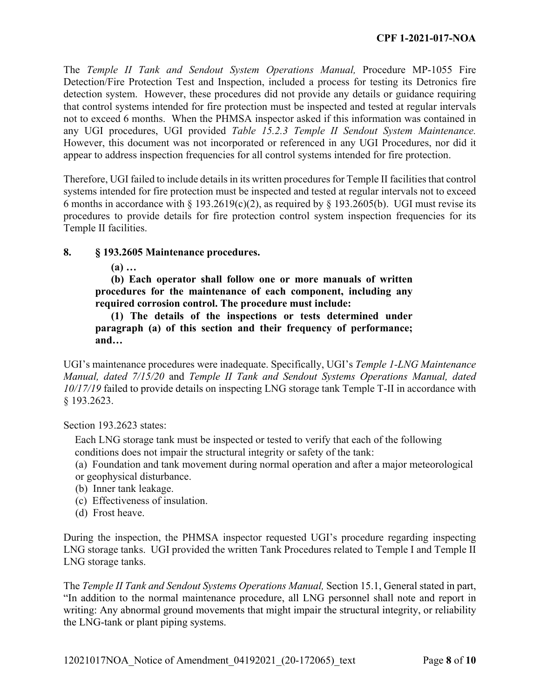The *Temple II Tank and Sendout System Operations Manual,* Procedure MP-1055 Fire Detection/Fire Protection Test and Inspection, included a process for testing its Detronics fire detection system. However, these procedures did not provide any details or guidance requiring that control systems intended for fire protection must be inspected and tested at regular intervals not to exceed 6 months. When the PHMSA inspector asked if this information was contained in any UGI procedures, UGI provided *Table 15.2.3 Temple II Sendout System Maintenance.*  However, this document was not incorporated or referenced in any UGI Procedures, nor did it appear to address inspection frequencies for all control systems intended for fire protection.

Therefore, UGI failed to include details in its written procedures for Temple II facilities that control systems intended for fire protection must be inspected and tested at regular intervals not to exceed 6 months in accordance with § 193.2619(c)(2), as required by § 193.2605(b). UGI must revise its procedures to provide details for fire protection control system inspection frequencies for its Temple II facilities.

#### **8. § 193.2605 Maintenance procedures.**

**(a) …** 

**(b) Each operator shall follow one or more manuals of written procedures for the maintenance of each component, including any required corrosion control. The procedure must include:** 

**(1) The details of the inspections or tests determined under paragraph (a) of this section and their frequency of performance; and…** 

UGI's maintenance procedures were inadequate. Specifically, UGI's *Temple 1-LNG Maintenance Manual, dated 7/15/20* and *Temple II Tank and Sendout Systems Operations Manual, dated 10/17/19* failed to provide details on inspecting LNG storage tank Temple T-II in accordance with § 193.2623.

Section 193.2623 states:

Each LNG storage tank must be inspected or tested to verify that each of the following conditions does not impair the structural integrity or safety of the tank:

(a) Foundation and tank movement during normal operation and after a major meteorological or geophysical disturbance.

- (b) Inner tank leakage.
- (c) Effectiveness of insulation.
- (d) Frost heave.

During the inspection, the PHMSA inspector requested UGI's procedure regarding inspecting LNG storage tanks. UGI provided the written Tank Procedures related to Temple I and Temple II LNG storage tanks.

The *Temple II Tank and Sendout Systems Operations Manual,* Section 15.1, General stated in part, "In addition to the normal maintenance procedure, all LNG personnel shall note and report in writing: Any abnormal ground movements that might impair the structural integrity, or reliability the LNG-tank or plant piping systems.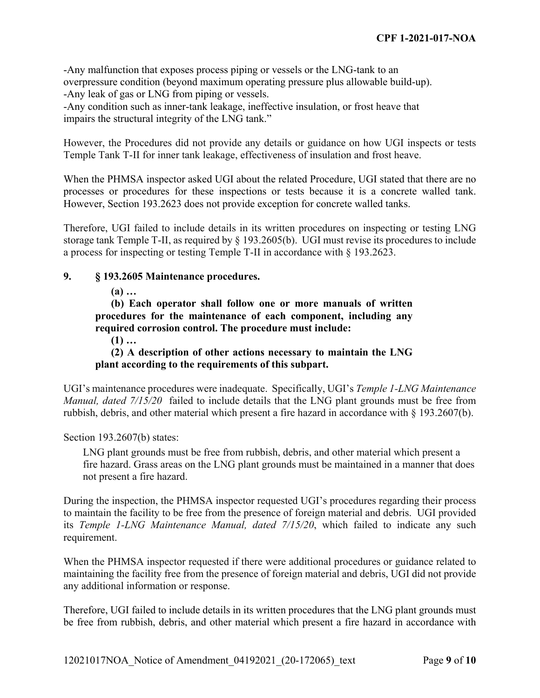-Any malfunction that exposes process piping or vessels or the LNG-tank to an overpressure condition (beyond maximum operating pressure plus allowable build-up). -Any leak of gas or LNG from piping or vessels.

-Any condition such as inner-tank leakage, ineffective insulation, or frost heave that impairs the structural integrity of the LNG tank."

However, the Procedures did not provide any details or guidance on how UGI inspects or tests Temple Tank T-II for inner tank leakage, effectiveness of insulation and frost heave.

 processes or procedures for these inspections or tests because it is a concrete walled tank. However, Section 193.2623 does not provide exception for concrete walled tanks. When the PHMSA inspector asked UGI about the related Procedure, UGI stated that there are no

Therefore, UGI failed to include details in its written procedures on inspecting or testing LNG storage tank Temple T-II, as required by § 193.2605(b). UGI must revise its procedures to include a process for inspecting or testing Temple T-II in accordance with § 193.2623.

# **9. § 193.2605 Maintenance procedures.**

**(a) …** 

**(b) Each operator shall follow one or more manuals of written procedures for the maintenance of each component, including any required corrosion control. The procedure must include:** 

**(1) …** 

**(2) A description of other actions necessary to maintain the LNG plant according to the requirements of this subpart.** 

UGI's maintenance procedures were inadequate. Specifically, UGI's *Temple 1-LNG Maintenance Manual, dated 7/15/20* failed to include details that the LNG plant grounds must be free from rubbish, debris, and other material which present a fire hazard in accordance with § 193.2607(b).

Section 193.2607(b) states:

LNG plant grounds must be free from rubbish, debris, and other material which present a fire hazard. Grass areas on the LNG plant grounds must be maintained in a manner that does not present a fire hazard.

During the inspection, the PHMSA inspector requested UGI's procedures regarding their process to maintain the facility to be free from the presence of foreign material and debris. UGI provided its *Temple 1-LNG Maintenance Manual, dated 7/15/20*, which failed to indicate any such requirement.

When the PHMSA inspector requested if there were additional procedures or guidance related to maintaining the facility free from the presence of foreign material and debris, UGI did not provide any additional information or response.

Therefore, UGI failed to include details in its written procedures that the LNG plant grounds must be free from rubbish, debris, and other material which present a fire hazard in accordance with